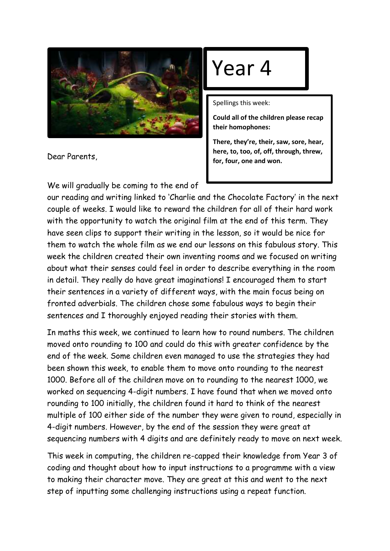

Dear Parents,

We will gradually be coming to the end of

## Year 4

Spellings this week:

**Could all of the children please recap their homophones:**

**There, they're, their, saw, sore, hear, here, to, too, of, off, through, threw, for, four, one and won.** 

our reading and writing linked to 'Charlie and the Chocolate Factory' in the next couple of weeks. I would like to reward the children for all of their hard work with the opportunity to watch the original film at the end of this term. They have seen clips to support their writing in the lesson, so it would be nice for them to watch the whole film as we end our lessons on this fabulous story. This week the children created their own inventing rooms and we focused on writing about what their senses could feel in order to describe everything in the room in detail. They really do have great imaginations! I encouraged them to start their sentences in a variety of different ways, with the main focus being on fronted adverbials. The children chose some fabulous ways to begin their sentences and I thoroughly enjoyed reading their stories with them.

In maths this week, we continued to learn how to round numbers. The children moved onto rounding to 100 and could do this with greater confidence by the end of the week. Some children even managed to use the strategies they had been shown this week, to enable them to move onto rounding to the nearest 1000. Before all of the children move on to rounding to the nearest 1000, we worked on sequencing 4-digit numbers. I have found that when we moved onto rounding to 100 initially, the children found it hard to think of the nearest multiple of 100 either side of the number they were given to round, especially in 4-digit numbers. However, by the end of the session they were great at sequencing numbers with 4 digits and are definitely ready to move on next week.

This week in computing, the children re-capped their knowledge from Year 3 of coding and thought about how to input instructions to a programme with a view to making their character move. They are great at this and went to the next step of inputting some challenging instructions using a repeat function.